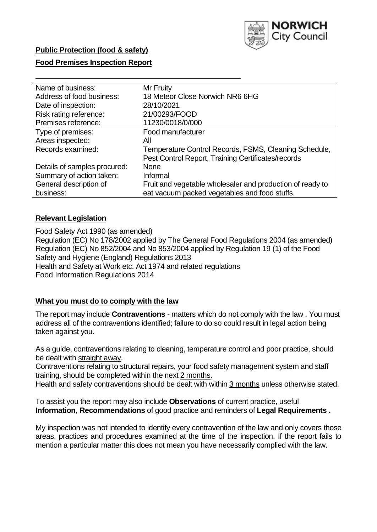

# **Public Protection (food & safety)**

### **Food Premises Inspection Report**

| Name of business:            | Mr Fruity                                                 |
|------------------------------|-----------------------------------------------------------|
| Address of food business:    | 18 Meteor Close Norwich NR6 6HG                           |
| Date of inspection:          | 28/10/2021                                                |
| Risk rating reference:       | 21/00293/FOOD                                             |
| Premises reference:          | 11230/0018/0/000                                          |
| Type of premises:            | Food manufacturer                                         |
| Areas inspected:             | All                                                       |
| Records examined:            | Temperature Control Records, FSMS, Cleaning Schedule,     |
|                              | Pest Control Report, Training Certificates/records        |
| Details of samples procured: | <b>None</b>                                               |
| Summary of action taken:     | Informal                                                  |
| General description of       | Fruit and vegetable wholesaler and production of ready to |
| business:                    | eat vacuum packed vegetables and food stuffs.             |

## **Relevant Legislation**

 Food Safety Act 1990 (as amended) Regulation (EC) No 178/2002 applied by The General Food Regulations 2004 (as amended) Regulation (EC) No 852/2004 and No 853/2004 applied by Regulation 19 (1) of the Food Safety and Hygiene (England) Regulations 2013 Health and Safety at Work etc. Act 1974 and related regulations Food Information Regulations 2014

### **What you must do to comply with the law**

 The report may include **Contraventions** - matters which do not comply with the law . You must address all of the contraventions identified; failure to do so could result in legal action being taken against you.

 As a guide, contraventions relating to cleaning, temperature control and poor practice, should be dealt with straight away.

 Contraventions relating to structural repairs, your food safety management system and staff training, should be completed within the next 2 months.

Health and safety contraventions should be dealt with within 3 months unless otherwise stated.

 To assist you the report may also include **Observations** of current practice, useful **Information**, **Recommendations** of good practice and reminders of **Legal Requirements .** 

 My inspection was not intended to identify every contravention of the law and only covers those areas, practices and procedures examined at the time of the inspection. If the report fails to mention a particular matter this does not mean you have necessarily complied with the law.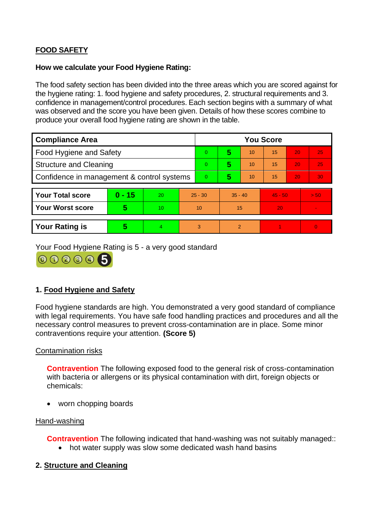# **FOOD SAFETY**

### **How we calculate your Food Hygiene Rating:**

 The food safety section has been divided into the three areas which you are scored against for the hygiene rating: 1. food hygiene and safety procedures, 2. structural requirements and 3. confidence in management/control procedures. Each section begins with a summary of what was observed and the score you have been given. Details of how these scores combine to produce your overall food hygiene rating are shown in the table.

| <b>Compliance Area</b>                     |          |    |                | <b>You Score</b> |                |    |           |    |                |  |  |
|--------------------------------------------|----------|----|----------------|------------------|----------------|----|-----------|----|----------------|--|--|
| Food Hygiene and Safety                    |          |    |                | $\Omega$         | 5              | 10 | 15        | 20 | 25             |  |  |
| <b>Structure and Cleaning</b>              |          |    | $\Omega$       | 5                | 10             | 15 | 20        | 25 |                |  |  |
| Confidence in management & control systems |          |    | $\overline{0}$ | 5                | 10             | 15 | 20        | 30 |                |  |  |
|                                            |          |    |                |                  |                |    |           |    |                |  |  |
| <b>Your Total score</b>                    | $0 - 15$ | 20 | $25 - 30$      |                  | $35 - 40$      |    | $45 - 50$ |    | > 50           |  |  |
| <b>Your Worst score</b>                    | 5        | 10 | 10             |                  | 15             |    | 20        |    | $\blacksquare$ |  |  |
|                                            |          |    |                |                  |                |    |           |    |                |  |  |
| <b>Your Rating is</b>                      | 5        | 4  | 3              |                  | $\overline{2}$ |    |           |    | $\Omega$       |  |  |

Your Food Hygiene Rating is 5 - a very good standard



# **1. Food Hygiene and Safety**

 with legal requirements. You have safe food handling practices and procedures and all the Food hygiene standards are high. You demonstrated a very good standard of compliance necessary control measures to prevent cross-contamination are in place. Some minor contraventions require your attention. **(Score 5)** 

### Contamination risks

 with bacteria or allergens or its physical contamination with dirt, foreign objects or **Contravention** The following exposed food to the general risk of cross-contamination chemicals:

• worn chopping boards

### Hand-washing

**Contravention** The following indicated that hand-washing was not suitably managed::

• hot water supply was slow some dedicated wash hand basins

### **2. Structure and Cleaning**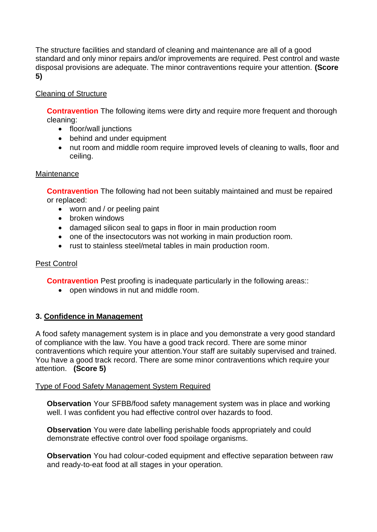The structure facilities and standard of cleaning and maintenance are all of a good standard and only minor repairs and/or improvements are required. Pest control and waste disposal provisions are adequate. The minor contraventions require your attention. **(Score 5)** 

## Cleaning of Structure

**Contravention** The following items were dirty and require more frequent and thorough cleaning:

- floor/wall junctions
- behind and under equipment
- nut room and middle room require improved levels of cleaning to walls, floor and ceiling.

#### **Maintenance**

**Contravention** The following had not been suitably maintained and must be repaired or replaced:

- worn and / or peeling paint
- broken windows
- damaged silicon seal to gaps in floor in main production room
- one of the insectocutors was not working in main production room.
- rust to stainless steel/metal tables in main production room.

### Pest Control

**Contravention** Pest proofing is inadequate particularly in the following areas::

• open windows in nut and middle room.

### **3. Confidence in Management**

 of compliance with the law. You have a good track record. There are some minor A food safety management system is in place and you demonstrate a very good standard contraventions which require your attention.Your staff are suitably supervised and trained. You have a good track record. There are some minor contraventions which require your attention. **(Score 5)** 

### Type of Food Safety Management System Required

**Observation** Your SFBB/food safety management system was in place and working well. I was confident you had effective control over hazards to food.

**Observation** You were date labelling perishable foods appropriately and could demonstrate effective control over food spoilage organisms.

**Observation** You had colour-coded equipment and effective separation between raw and ready-to-eat food at all stages in your operation.